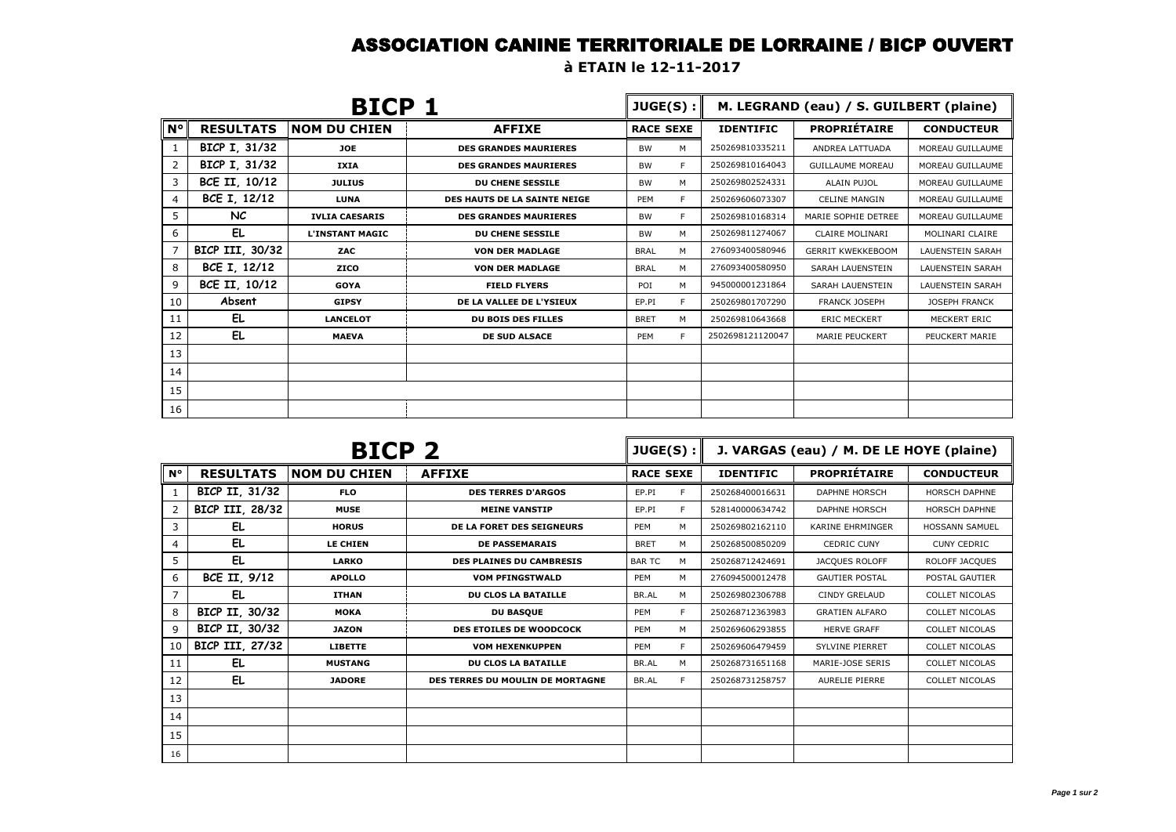## ASSOCIATION CANINE TERRITORIALE DE LORRAINE / BICP OUVERT

**à ETAIN le 12-11-2017**

| BICP 1         |                  |                        |                              | JUGE(S):         | M. LEGRAND (eau) / S. GUILBERT (plaine) |                  |                          |                         |
|----------------|------------------|------------------------|------------------------------|------------------|-----------------------------------------|------------------|--------------------------|-------------------------|
| $N^{\circ}$    | <b>RESULTATS</b> | <b>NOM DU CHIEN</b>    | <b>AFFIXE</b>                | <b>RACE SEXE</b> |                                         | <b>IDENTIFIC</b> | <b>PROPRIÉTAIRE</b>      | <b>CONDUCTEUR</b>       |
| 1              | BICP I, 31/32    | JOE                    | <b>DES GRANDES MAURIERES</b> | <b>BW</b>        | M                                       | 250269810335211  | ANDREA LATTUADA          | MOREAU GUILLAUME        |
| $\overline{2}$ | BICP I, 31/32    | IXIA                   | <b>DES GRANDES MAURIERES</b> | <b>BW</b>        | E                                       | 250269810164043  | <b>GUILLAUME MOREAU</b>  | MOREAU GUILLAUME        |
| 3              | BCE II, 10/12    | <b>JULIUS</b>          | DU CHENE SESSILE             | <b>BW</b>        | М                                       | 250269802524331  | <b>ALAIN PUJOL</b>       | MOREAU GUILLAUME        |
| 4              | BCE I, 12/12     | <b>LUNA</b>            | DES HAUTS DE LA SAINTE NEIGE | PEM              | E                                       | 250269606073307  | <b>CELINE MANGIN</b>     | MOREAU GUILLAUME        |
| 5              | NC.              | <b>IVLIA CAESARIS</b>  | <b>DES GRANDES MAURIERES</b> | <b>BW</b>        | E                                       | 250269810168314  | MARIE SOPHIE DETREE      | MOREAU GUILLAUME        |
| 6              | EL               | <b>L'INSTANT MAGIC</b> | <b>DU CHENE SESSILE</b>      | <b>BW</b>        | M                                       | 250269811274067  | CLAIRE MOLINARI          | MOLINARI CLAIRE         |
| $\overline{7}$ | BICP III, 30/32  | ZAC                    | <b>VON DER MADLAGE</b>       | <b>BRAL</b>      | M                                       | 276093400580946  | <b>GERRIT KWEKKEBOOM</b> | <b>LAUENSTEIN SARAH</b> |
| 8              | BCE I, 12/12     | <b>ZICO</b>            | <b>VON DER MADLAGE</b>       | <b>BRAL</b>      | M                                       | 276093400580950  | SARAH LAUENSTEIN         | <b>LAUENSTEIN SARAH</b> |
| 9              | BCE II, 10/12    | <b>GOYA</b>            | <b>FIELD FLYERS</b>          | POI              | M                                       | 945000001231864  | SARAH LAUENSTEIN         | <b>LAUENSTEIN SARAH</b> |
| 10             | Absent           | <b>GIPSY</b>           | DE LA VALLEE DE L'YSIEUX     | EP.PI            | F                                       | 250269801707290  | <b>FRANCK JOSEPH</b>     | <b>JOSEPH FRANCK</b>    |
| 11             | EL               | <b>LANCELOT</b>        | <b>DU BOIS DES FILLES</b>    | <b>BRET</b>      | M                                       | 250269810643668  | <b>ERIC MECKERT</b>      | MECKERT ERIC            |
| 12             | EL.              | <b>MAEVA</b>           | <b>DE SUD ALSACE</b>         | PEM              | E                                       | 2502698121120047 | <b>MARIE PEUCKERT</b>    | PEUCKERT MARIE          |
| 13             |                  |                        |                              |                  |                                         |                  |                          |                         |
| 14             |                  |                        |                              |                  |                                         |                  |                          |                         |
| 15             |                  |                        |                              |                  |                                         |                  |                          |                         |
| 16             |                  |                        |                              |                  |                                         |                  |                          |                         |

| BICP <sub>2</sub> |                  |                     | JUGE(S):                         |                  | J. VARGAS (eau) / M. DE LE HOYE (plaine) |                  |                         |                       |
|-------------------|------------------|---------------------|----------------------------------|------------------|------------------------------------------|------------------|-------------------------|-----------------------|
| $N^{\circ}$       | <b>RESULTATS</b> | <b>NOM DU CHIEN</b> | <b>AFFIXE</b>                    | <b>RACE SEXE</b> |                                          | <b>IDENTIFIC</b> | <b>PROPRIÉTAIRE</b>     | <b>CONDUCTEUR</b>     |
|                   | BICP II, 31/32   | <b>FLO</b>          | <b>DES TERRES D'ARGOS</b>        | EP.PI            | E                                        | 250268400016631  | <b>DAPHNE HORSCH</b>    | HORSCH DAPHNE         |
| 2                 | BICP III, 28/32  | <b>MUSE</b>         | <b>MEINE VANSTIP</b>             | EP.PI            | E                                        | 528140000634742  | <b>DAPHNE HORSCH</b>    | <b>HORSCH DAPHNE</b>  |
| 3                 | EL               | <b>HORUS</b>        | DE LA FORET DES SEIGNEURS        | <b>PEM</b>       | M                                        | 250269802162110  | <b>KARINE EHRMINGER</b> | <b>HOSSANN SAMUEL</b> |
| 4                 | EL.              | LE CHIEN            | <b>DE PASSEMARAIS</b>            | <b>BRET</b>      | M                                        | 250268500850209  | <b>CEDRIC CUNY</b>      | <b>CUNY CEDRIC</b>    |
| 5                 | EL.              | <b>LARKO</b>        | <b>DES PLAINES DU CAMBRESIS</b>  | <b>BAR TC</b>    | M                                        | 250268712424691  | JACQUES ROLOFF          | ROLOFF JACQUES        |
| 6                 | BCE II, 9/12     | <b>APOLLO</b>       | <b>VOM PFINGSTWALD</b>           | <b>PEM</b>       | M                                        | 276094500012478  | <b>GAUTIER POSTAL</b>   | POSTAL GAUTIER        |
| 7                 | EL               | <b>ITHAN</b>        | <b>DU CLOS LA BATAILLE</b>       | BR.AL            | M                                        | 250269802306788  | <b>CINDY GRELAUD</b>    | <b>COLLET NICOLAS</b> |
| 8                 | BICP II, 30/32   | <b>MOKA</b>         | <b>DU BASQUE</b>                 | <b>PEM</b>       | E                                        | 250268712363983  | <b>GRATIEN ALFARO</b>   | <b>COLLET NICOLAS</b> |
| 9                 | BICP II, 30/32   | <b>JAZON</b>        | <b>DES ETOILES DE WOODCOCK</b>   | PEM              | M                                        | 250269606293855  | <b>HERVE GRAFF</b>      | <b>COLLET NICOLAS</b> |
| 10                | BICP III, 27/32  | <b>LIBETTE</b>      | <b>VOM HEXENKUPPEN</b>           | PEM              | E                                        | 250269606479459  | <b>SYLVINE PIERRET</b>  | <b>COLLET NICOLAS</b> |
| 11                | EL               | <b>MUSTANG</b>      | DU CLOS LA BATAILLE              | BR.AL            | M                                        | 250268731651168  | MARIE-JOSE SERIS        | <b>COLLET NICOLAS</b> |
| 12                | EL.              | <b>JADORE</b>       | DES TERRES DU MOULIN DE MORTAGNE | BR.AL            | E                                        | 250268731258757  | <b>AURELIE PIERRE</b>   | <b>COLLET NICOLAS</b> |
| 13                |                  |                     |                                  |                  |                                          |                  |                         |                       |
| 14                |                  |                     |                                  |                  |                                          |                  |                         |                       |
| 15                |                  |                     |                                  |                  |                                          |                  |                         |                       |
| 16                |                  |                     |                                  |                  |                                          |                  |                         |                       |